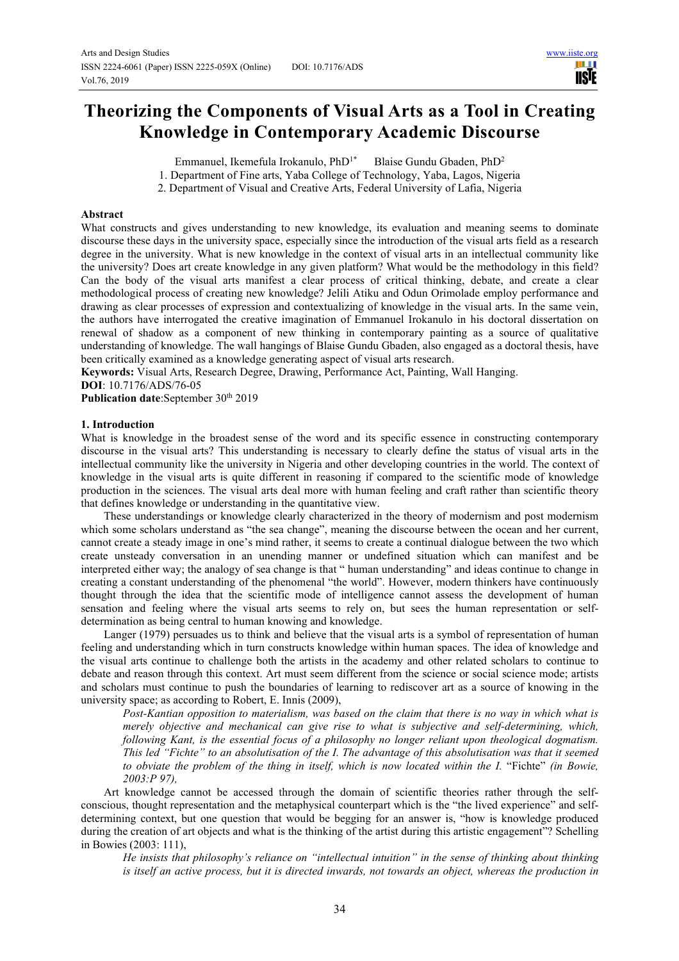ШI **IISIE** 

# **Theorizing the Components of Visual Arts as a Tool in Creating Knowledge in Contemporary Academic Discourse**

Emmanuel, Ikemefula Irokanulo, PhD<sup>1\*</sup> Blaise Gundu Gbaden, PhD<sup>2</sup>

1. Department of Fine arts, Yaba College of Technology, Yaba, Lagos, Nigeria

2. Department of Visual and Creative Arts, Federal University of Lafia, Nigeria

# **Abstract**

What constructs and gives understanding to new knowledge, its evaluation and meaning seems to dominate discourse these days in the university space, especially since the introduction of the visual arts field as a research degree in the university. What is new knowledge in the context of visual arts in an intellectual community like the university? Does art create knowledge in any given platform? What would be the methodology in this field? Can the body of the visual arts manifest a clear process of critical thinking, debate, and create a clear methodological process of creating new knowledge? Jelili Atiku and Odun Orimolade employ performance and drawing as clear processes of expression and contextualizing of knowledge in the visual arts. In the same vein, the authors have interrogated the creative imagination of Emmanuel Irokanulo in his doctoral dissertation on renewal of shadow as a component of new thinking in contemporary painting as a source of qualitative understanding of knowledge. The wall hangings of Blaise Gundu Gbaden, also engaged as a doctoral thesis, have been critically examined as a knowledge generating aspect of visual arts research.

**Keywords:** Visual Arts, Research Degree, Drawing, Performance Act, Painting, Wall Hanging.

**DOI**: 10.7176/ADS/76-05

Publication date:September 30<sup>th</sup> 2019

#### **1. Introduction**

What is knowledge in the broadest sense of the word and its specific essence in constructing contemporary discourse in the visual arts? This understanding is necessary to clearly define the status of visual arts in the intellectual community like the university in Nigeria and other developing countries in the world. The context of knowledge in the visual arts is quite different in reasoning if compared to the scientific mode of knowledge production in the sciences. The visual arts deal more with human feeling and craft rather than scientific theory that defines knowledge or understanding in the quantitative view.

These understandings or knowledge clearly characterized in the theory of modernism and post modernism which some scholars understand as "the sea change", meaning the discourse between the ocean and her current, cannot create a steady image in one's mind rather, it seems to create a continual dialogue between the two which create unsteady conversation in an unending manner or undefined situation which can manifest and be interpreted either way; the analogy of sea change is that " human understanding" and ideas continue to change in creating a constant understanding of the phenomenal "the world". However, modern thinkers have continuously thought through the idea that the scientific mode of intelligence cannot assess the development of human sensation and feeling where the visual arts seems to rely on, but sees the human representation or selfdetermination as being central to human knowing and knowledge.

Langer (1979) persuades us to think and believe that the visual arts is a symbol of representation of human feeling and understanding which in turn constructs knowledge within human spaces. The idea of knowledge and the visual arts continue to challenge both the artists in the academy and other related scholars to continue to debate and reason through this context. Art must seem different from the science or social science mode; artists and scholars must continue to push the boundaries of learning to rediscover art as a source of knowing in the university space; as according to Robert, E. Innis (2009),

*Post-Kantian opposition to materialism, was based on the claim that there is no way in which what is merely objective and mechanical can give rise to what is subjective and self-determining, which, following Kant, is the essential focus of a philosophy no longer reliant upon theological dogmatism. This led "Fichte" to an absolutisation of the I. The advantage of this absolutisation was that it seemed to obviate the problem of the thing in itself, which is now located within the I.* "Fichte" *(in Bowie, 2003:P 97),* 

Art knowledge cannot be accessed through the domain of scientific theories rather through the selfconscious, thought representation and the metaphysical counterpart which is the "the lived experience" and selfdetermining context, but one question that would be begging for an answer is, "how is knowledge produced during the creation of art objects and what is the thinking of the artist during this artistic engagement"? Schelling in Bowies (2003: 111),

*He insists that philosophy's reliance on "intellectual intuition" in the sense of thinking about thinking is itself an active process, but it is directed inwards, not towards an object, whereas the production in*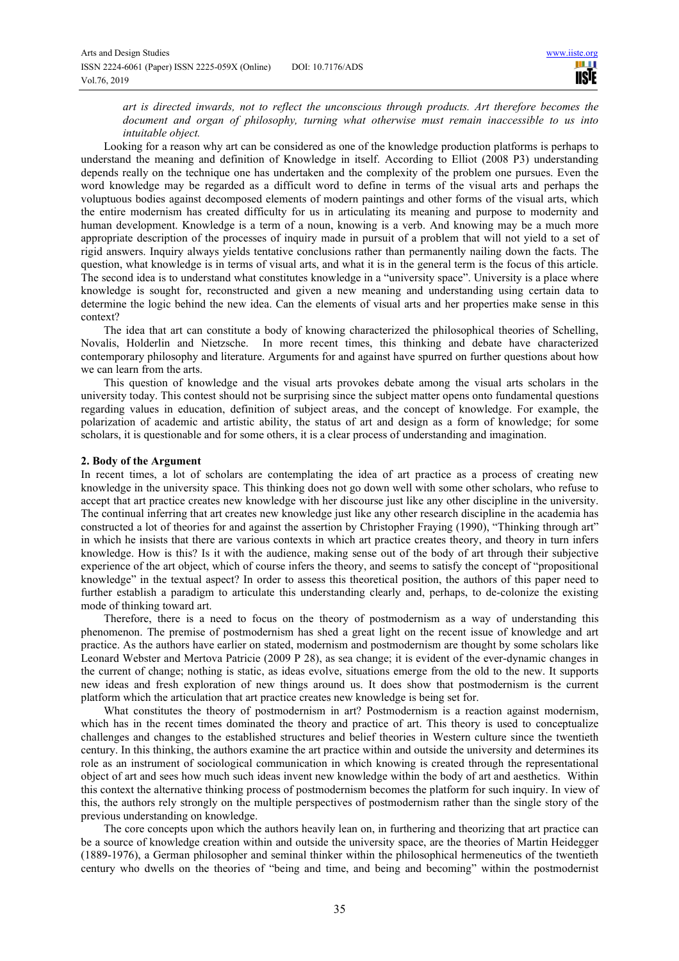*art is directed inwards, not to reflect the unconscious through products. Art therefore becomes the document and organ of philosophy, turning what otherwise must remain inaccessible to us into intuitable object.* 

Looking for a reason why art can be considered as one of the knowledge production platforms is perhaps to understand the meaning and definition of Knowledge in itself. According to Elliot (2008 P3) understanding depends really on the technique one has undertaken and the complexity of the problem one pursues. Even the word knowledge may be regarded as a difficult word to define in terms of the visual arts and perhaps the voluptuous bodies against decomposed elements of modern paintings and other forms of the visual arts, which the entire modernism has created difficulty for us in articulating its meaning and purpose to modernity and human development. Knowledge is a term of a noun, knowing is a verb. And knowing may be a much more appropriate description of the processes of inquiry made in pursuit of a problem that will not yield to a set of rigid answers. Inquiry always yields tentative conclusions rather than permanently nailing down the facts. The question, what knowledge is in terms of visual arts, and what it is in the general term is the focus of this article. The second idea is to understand what constitutes knowledge in a "university space". University is a place where knowledge is sought for, reconstructed and given a new meaning and understanding using certain data to determine the logic behind the new idea. Can the elements of visual arts and her properties make sense in this context?

The idea that art can constitute a body of knowing characterized the philosophical theories of Schelling, Novalis, Holderlin and Nietzsche. In more recent times, this thinking and debate have characterized contemporary philosophy and literature. Arguments for and against have spurred on further questions about how we can learn from the arts.

This question of knowledge and the visual arts provokes debate among the visual arts scholars in the university today. This contest should not be surprising since the subject matter opens onto fundamental questions regarding values in education, definition of subject areas, and the concept of knowledge. For example, the polarization of academic and artistic ability, the status of art and design as a form of knowledge; for some scholars, it is questionable and for some others, it is a clear process of understanding and imagination.

### **2. Body of the Argument**

In recent times, a lot of scholars are contemplating the idea of art practice as a process of creating new knowledge in the university space. This thinking does not go down well with some other scholars, who refuse to accept that art practice creates new knowledge with her discourse just like any other discipline in the university. The continual inferring that art creates new knowledge just like any other research discipline in the academia has constructed a lot of theories for and against the assertion by Christopher Fraying (1990), "Thinking through art" in which he insists that there are various contexts in which art practice creates theory, and theory in turn infers knowledge. How is this? Is it with the audience, making sense out of the body of art through their subjective experience of the art object, which of course infers the theory, and seems to satisfy the concept of "propositional knowledge" in the textual aspect? In order to assess this theoretical position, the authors of this paper need to further establish a paradigm to articulate this understanding clearly and, perhaps, to de-colonize the existing mode of thinking toward art.

Therefore, there is a need to focus on the theory of postmodernism as a way of understanding this phenomenon. The premise of postmodernism has shed a great light on the recent issue of knowledge and art practice. As the authors have earlier on stated, modernism and postmodernism are thought by some scholars like Leonard Webster and Mertova Patricie (2009 P 28), as sea change; it is evident of the ever-dynamic changes in the current of change; nothing is static, as ideas evolve, situations emerge from the old to the new. It supports new ideas and fresh exploration of new things around us. It does show that postmodernism is the current platform which the articulation that art practice creates new knowledge is being set for.

What constitutes the theory of postmodernism in art? Postmodernism is a reaction against modernism, which has in the recent times dominated the theory and practice of art. This theory is used to conceptualize challenges and changes to the established structures and belief theories in Western culture since the twentieth century. In this thinking, the authors examine the art practice within and outside the university and determines its role as an instrument of sociological communication in which knowing is created through the representational object of art and sees how much such ideas invent new knowledge within the body of art and aesthetics. Within this context the alternative thinking process of postmodernism becomes the platform for such inquiry. In view of this, the authors rely strongly on the multiple perspectives of postmodernism rather than the single story of the previous understanding on knowledge.

The core concepts upon which the authors heavily lean on, in furthering and theorizing that art practice can be a source of knowledge creation within and outside the university space, are the theories of Martin Heidegger (1889-1976), a German philosopher and seminal thinker within the philosophical hermeneutics of the twentieth century who dwells on the theories of "being and time, and being and becoming" within the postmodernist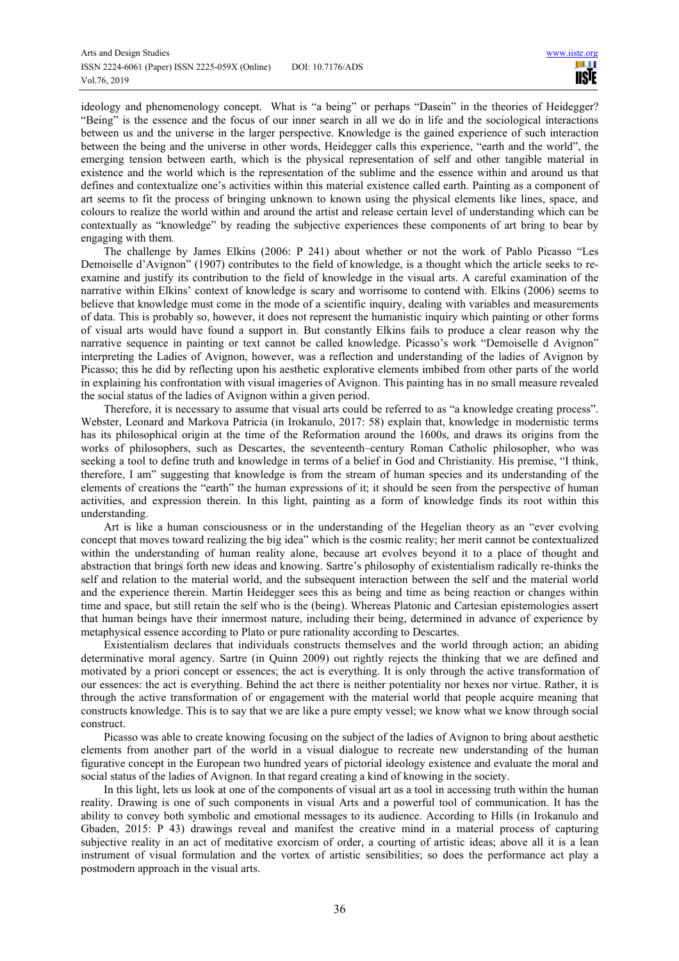ideology and phenomenology concept. What is "a being" or perhaps "Dasein" in the theories of Heidegger? "Being" is the essence and the focus of our inner search in all we do in life and the sociological interactions between us and the universe in the larger perspective. Knowledge is the gained experience of such interaction between the being and the universe in other words, Heidegger calls this experience, "earth and the world", the emerging tension between earth, which is the physical representation of self and other tangible material in existence and the world which is the representation of the sublime and the essence within and around us that defines and contextualize one's activities within this material existence called earth. Painting as a component of art seems to fit the process of bringing unknown to known using the physical elements like lines, space, and colours to realize the world within and around the artist and release certain level of understanding which can be contextually as "knowledge" by reading the subjective experiences these components of art bring to bear by engaging with them*.*

The challenge by James Elkins (2006: P 241) about whether or not the work of Pablo Picasso "Les Demoiselle d'Avignon" (1907) contributes to the field of knowledge, is a thought which the article seeks to reexamine and justify its contribution to the field of knowledge in the visual arts. A careful examination of the narrative within Elkins' context of knowledge is scary and worrisome to contend with. Elkins (2006) seems to believe that knowledge must come in the mode of a scientific inquiry, dealing with variables and measurements of data. This is probably so, however, it does not represent the humanistic inquiry which painting or other forms of visual arts would have found a support in. But constantly Elkins fails to produce a clear reason why the narrative sequence in painting or text cannot be called knowledge. Picasso's work "Demoiselle d Avignon" interpreting the Ladies of Avignon, however, was a reflection and understanding of the ladies of Avignon by Picasso; this he did by reflecting upon his aesthetic explorative elements imbibed from other parts of the world in explaining his confrontation with visual imageries of Avignon. This painting has in no small measure revealed the social status of the ladies of Avignon within a given period.

Therefore, it is necessary to assume that visual arts could be referred to as "a knowledge creating process". Webster, Leonard and Markova Patricia (in Irokanulo, 2017: 58) explain that, knowledge in modernistic terms has its philosophical origin at the time of the Reformation around the 1600s, and draws its origins from the works of philosophers, such as Descartes, the seventeenth–century Roman Catholic philosopher, who was seeking a tool to define truth and knowledge in terms of a belief in God and Christianity. His premise, "I think, therefore, I am" suggesting that knowledge is from the stream of human species and its understanding of the elements of creations the "earth" the human expressions of it; it should be seen from the perspective of human activities, and expression therein. In this light, painting as a form of knowledge finds its root within this understanding.

Art is like a human consciousness or in the understanding of the Hegelian theory as an "ever evolving concept that moves toward realizing the big idea" which is the cosmic reality; her merit cannot be contextualized within the understanding of human reality alone, because art evolves beyond it to a place of thought and abstraction that brings forth new ideas and knowing. Sartre's philosophy of existentialism radically re-thinks the self and relation to the material world, and the subsequent interaction between the self and the material world and the experience therein. Martin Heidegger sees this as being and time as being reaction or changes within time and space, but still retain the self who is the (being). Whereas Platonic and Cartesian epistemologies assert that human beings have their innermost nature, including their being, determined in advance of experience by metaphysical essence according to Plato or pure rationality according to Descartes.

Existentialism declares that individuals constructs themselves and the world through action; an abiding determinative moral agency. Sartre (in Quinn 2009) out rightly rejects the thinking that we are defined and motivated by a priori concept or essences; the act is everything. It is only through the active transformation of our essences: the act is everything. Behind the act there is neither potentiality nor hexes nor virtue. Rather, it is through the active transformation of or engagement with the material world that people acquire meaning that constructs knowledge. This is to say that we are like a pure empty vessel; we know what we know through social construct.

Picasso was able to create knowing focusing on the subject of the ladies of Avignon to bring about aesthetic elements from another part of the world in a visual dialogue to recreate new understanding of the human figurative concept in the European two hundred years of pictorial ideology existence and evaluate the moral and social status of the ladies of Avignon. In that regard creating a kind of knowing in the society.

In this light, lets us look at one of the components of visual art as a tool in accessing truth within the human reality. Drawing is one of such components in visual Arts and a powerful tool of communication. It has the ability to convey both symbolic and emotional messages to its audience. According to Hills (in Irokanulo and Gbaden, 2015: P 43) drawings reveal and manifest the creative mind in a material process of capturing subjective reality in an act of meditative exorcism of order, a courting of artistic ideas; above all it is a lean instrument of visual formulation and the vortex of artistic sensibilities; so does the performance act play a postmodern approach in the visual arts.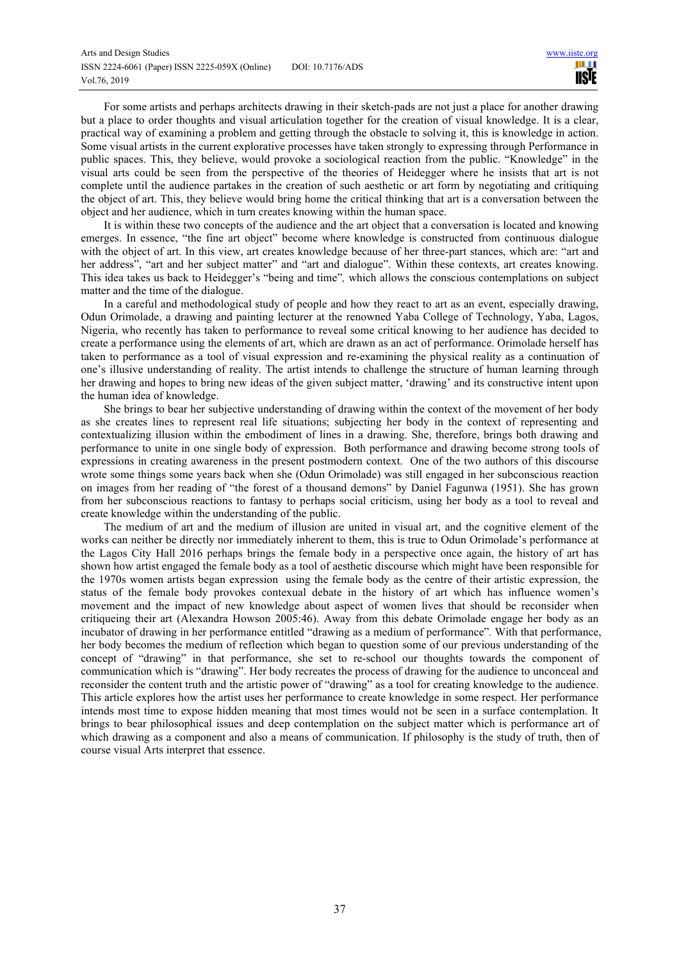For some artists and perhaps architects drawing in their sketch-pads are not just a place for another drawing but a place to order thoughts and visual articulation together for the creation of visual knowledge. It is a clear, practical way of examining a problem and getting through the obstacle to solving it, this is knowledge in action. Some visual artists in the current explorative processes have taken strongly to expressing through Performance in public spaces. This, they believe, would provoke a sociological reaction from the public. "Knowledge" in the visual arts could be seen from the perspective of the theories of Heidegger where he insists that art is not complete until the audience partakes in the creation of such aesthetic or art form by negotiating and critiquing the object of art. This, they believe would bring home the critical thinking that art is a conversation between the object and her audience, which in turn creates knowing within the human space.

It is within these two concepts of the audience and the art object that a conversation is located and knowing emerges. In essence, "the fine art object" become where knowledge is constructed from continuous dialogue with the object of art. In this view, art creates knowledge because of her three-part stances, which are: "art and her address", "art and her subject matter" and "art and dialogue". Within these contexts, art creates knowing. This idea takes us back to Heidegger's "being and time"*,* which allows the conscious contemplations on subject matter and the time of the dialogue.

In a careful and methodological study of people and how they react to art as an event, especially drawing, Odun Orimolade, a drawing and painting lecturer at the renowned Yaba College of Technology, Yaba, Lagos, Nigeria, who recently has taken to performance to reveal some critical knowing to her audience has decided to create a performance using the elements of art, which are drawn as an act of performance. Orimolade herself has taken to performance as a tool of visual expression and re-examining the physical reality as a continuation of one's illusive understanding of reality. The artist intends to challenge the structure of human learning through her drawing and hopes to bring new ideas of the given subject matter, 'drawing' and its constructive intent upon the human idea of knowledge.

She brings to bear her subjective understanding of drawing within the context of the movement of her body as she creates lines to represent real life situations; subjecting her body in the context of representing and contextualizing illusion within the embodiment of lines in a drawing. She, therefore, brings both drawing and performance to unite in one single body of expression. Both performance and drawing become strong tools of expressions in creating awareness in the present postmodern context. One of the two authors of this discourse wrote some things some years back when she (Odun Orimolade) was still engaged in her subconscious reaction on images from her reading of "the forest of a thousand demons" by Daniel Fagunwa (1951). She has grown from her subconscious reactions to fantasy to perhaps social criticism, using her body as a tool to reveal and create knowledge within the understanding of the public.

The medium of art and the medium of illusion are united in visual art, and the cognitive element of the works can neither be directly nor immediately inherent to them, this is true to Odun Orimolade's performance at the Lagos City Hall 2016 perhaps brings the female body in a perspective once again, the history of art has shown how artist engaged the female body as a tool of aesthetic discourse which might have been responsible for the 1970s women artists began expression using the female body as the centre of their artistic expression, the status of the female body provokes contexual debate in the history of art which has influence women's movement and the impact of new knowledge about aspect of women lives that should be reconsider when critiqueing their art (Alexandra Howson 2005:46). Away from this debate Orimolade engage her body as an incubator of drawing in her performance entitled "drawing as a medium of performance"*.* With that performance, her body becomes the medium of reflection which began to question some of our previous understanding of the concept of "drawing" in that performance, she set to re-school our thoughts towards the component of communication which is "drawing". Her body recreates the process of drawing for the audience to unconceal and reconsider the content truth and the artistic power of "drawing" as a tool for creating knowledge to the audience. This article explores how the artist uses her performance to create knowledge in some respect. Her performance intends most time to expose hidden meaning that most times would not be seen in a surface contemplation. It brings to bear philosophical issues and deep contemplation on the subject matter which is performance art of which drawing as a component and also a means of communication. If philosophy is the study of truth, then of course visual Arts interpret that essence.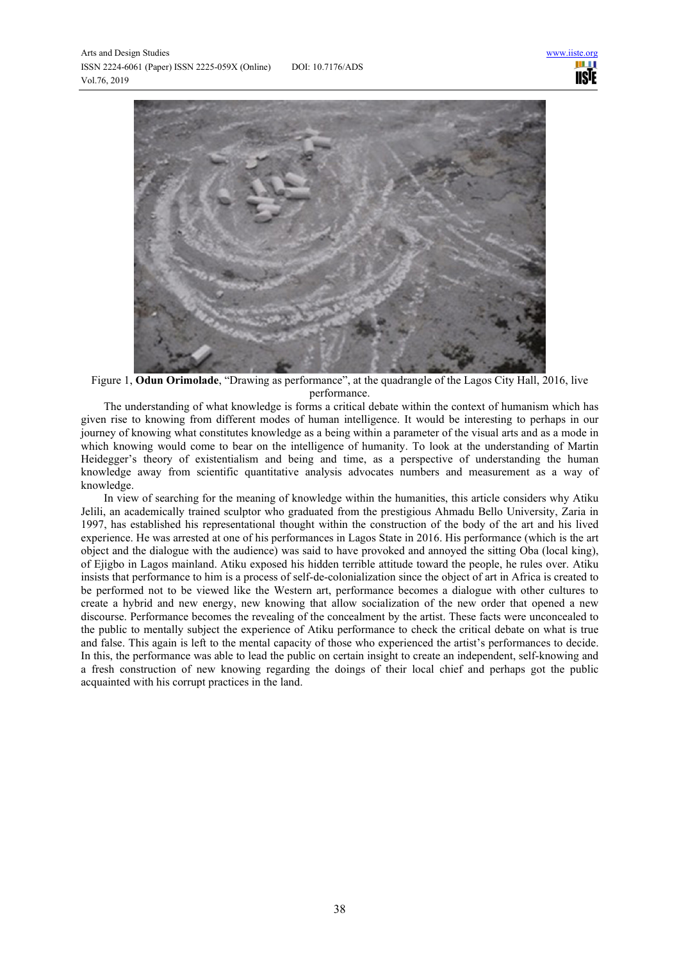

Figure 1, **Odun Orimolade**, "Drawing as performance", at the quadrangle of the Lagos City Hall, 2016, live performance.

The understanding of what knowledge is forms a critical debate within the context of humanism which has given rise to knowing from different modes of human intelligence. It would be interesting to perhaps in our journey of knowing what constitutes knowledge as a being within a parameter of the visual arts and as a mode in which knowing would come to bear on the intelligence of humanity. To look at the understanding of Martin Heidegger's theory of existentialism and being and time, as a perspective of understanding the human knowledge away from scientific quantitative analysis advocates numbers and measurement as a way of knowledge.

In view of searching for the meaning of knowledge within the humanities, this article considers why Atiku Jelili, an academically trained sculptor who graduated from the prestigious Ahmadu Bello University, Zaria in 1997, has established his representational thought within the construction of the body of the art and his lived experience. He was arrested at one of his performances in Lagos State in 2016. His performance (which is the art object and the dialogue with the audience) was said to have provoked and annoyed the sitting Oba (local king), of Ejigbo in Lagos mainland. Atiku exposed his hidden terrible attitude toward the people, he rules over. Atiku insists that performance to him is a process of self-de-colonialization since the object of art in Africa is created to be performed not to be viewed like the Western art, performance becomes a dialogue with other cultures to create a hybrid and new energy, new knowing that allow socialization of the new order that opened a new discourse. Performance becomes the revealing of the concealment by the artist. These facts were unconcealed to the public to mentally subject the experience of Atiku performance to check the critical debate on what is true and false. This again is left to the mental capacity of those who experienced the artist's performances to decide. In this, the performance was able to lead the public on certain insight to create an independent, self-knowing and a fresh construction of new knowing regarding the doings of their local chief and perhaps got the public acquainted with his corrupt practices in the land.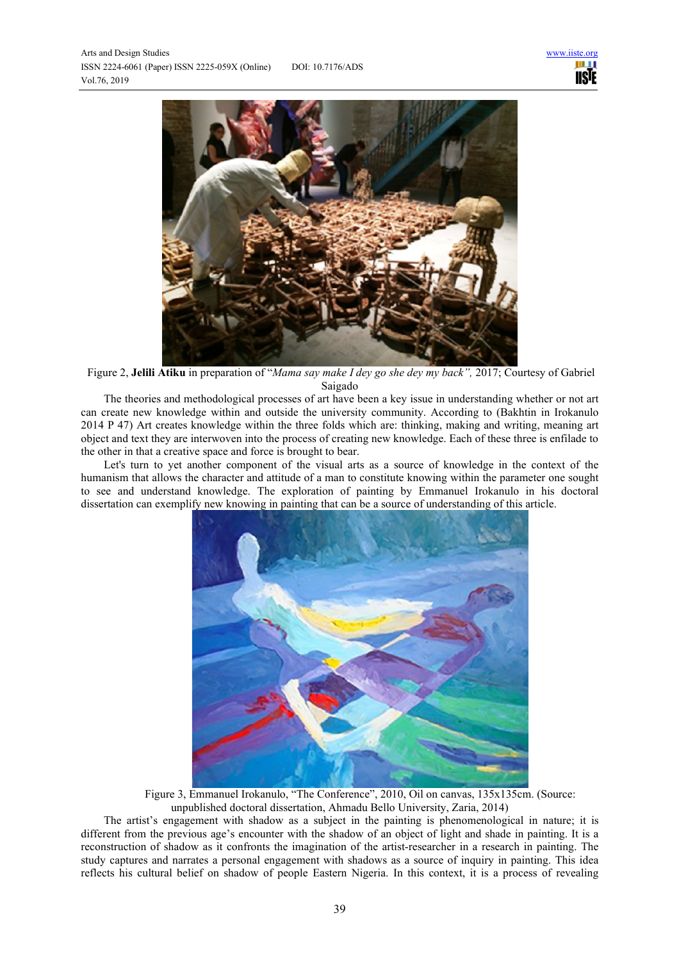

 Figure 2, **Jelili Atiku** in preparation of "*Mama say make I dey go she dey my back",* 2017; Courtesy of Gabriel Saigado

The theories and methodological processes of art have been a key issue in understanding whether or not art can create new knowledge within and outside the university community. According to (Bakhtin in Irokanulo 2014 P 47) Art creates knowledge within the three folds which are: thinking, making and writing, meaning art object and text they are interwoven into the process of creating new knowledge. Each of these three is enfilade to the other in that a creative space and force is brought to bear.

Let's turn to yet another component of the visual arts as a source of knowledge in the context of the humanism that allows the character and attitude of a man to constitute knowing within the parameter one sought to see and understand knowledge. The exploration of painting by Emmanuel Irokanulo in his doctoral dissertation can exemplify new knowing in painting that can be a source of understanding of this article.



Figure 3, Emmanuel Irokanulo, "The Conference", 2010, Oil on canvas, 135x135cm. (Source: unpublished doctoral dissertation, Ahmadu Bello University, Zaria, 2014)

The artist's engagement with shadow as a subject in the painting is phenomenological in nature; it is different from the previous age's encounter with the shadow of an object of light and shade in painting. It is a reconstruction of shadow as it confronts the imagination of the artist-researcher in a research in painting. The study captures and narrates a personal engagement with shadows as a source of inquiry in painting. This idea reflects his cultural belief on shadow of people Eastern Nigeria. In this context, it is a process of revealing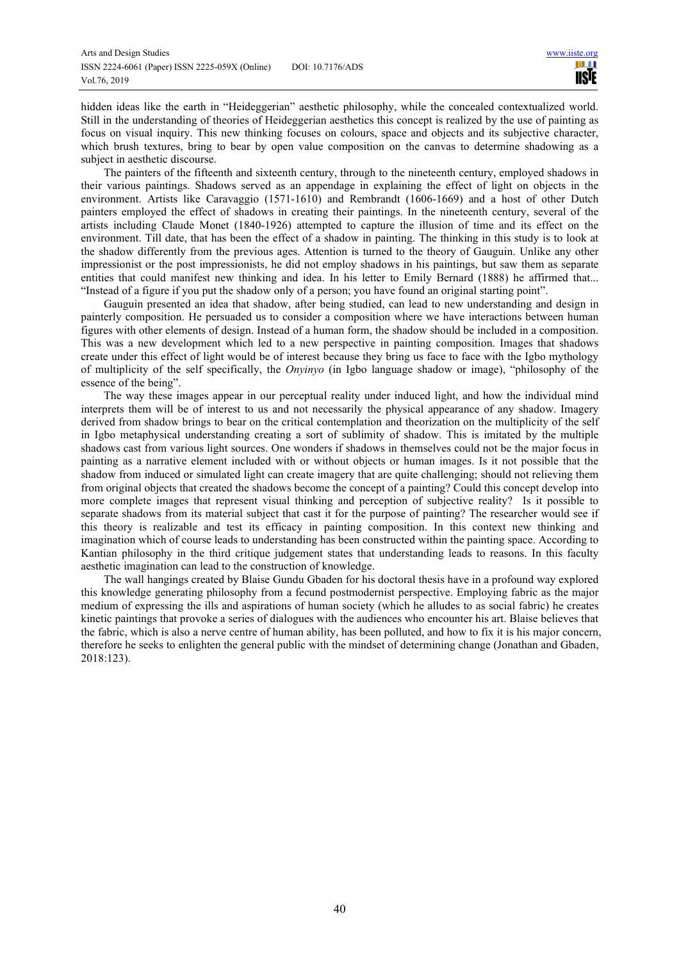hidden ideas like the earth in "Heideggerian" aesthetic philosophy, while the concealed contextualized world. Still in the understanding of theories of Heideggerian aesthetics this concept is realized by the use of painting as focus on visual inquiry. This new thinking focuses on colours, space and objects and its subjective character, which brush textures, bring to bear by open value composition on the canvas to determine shadowing as a subject in aesthetic discourse.

The painters of the fifteenth and sixteenth century, through to the nineteenth century, employed shadows in their various paintings. Shadows served as an appendage in explaining the effect of light on objects in the environment. Artists like Caravaggio (1571-1610) and Rembrandt (1606-1669) and a host of other Dutch painters employed the effect of shadows in creating their paintings. In the nineteenth century, several of the artists including Claude Monet (1840-1926) attempted to capture the illusion of time and its effect on the environment. Till date, that has been the effect of a shadow in painting. The thinking in this study is to look at the shadow differently from the previous ages. Attention is turned to the theory of Gauguin. Unlike any other impressionist or the post impressionists, he did not employ shadows in his paintings, but saw them as separate entities that could manifest new thinking and idea. In his letter to Emily Bernard (1888) he affirmed that... "Instead of a figure if you put the shadow only of a person; you have found an original starting point".

Gauguin presented an idea that shadow, after being studied, can lead to new understanding and design in painterly composition. He persuaded us to consider a composition where we have interactions between human figures with other elements of design. Instead of a human form, the shadow should be included in a composition. This was a new development which led to a new perspective in painting composition. Images that shadows create under this effect of light would be of interest because they bring us face to face with the Igbo mythology of multiplicity of the self specifically, the *Onyinyo* (in Igbo language shadow or image), "philosophy of the essence of the being".

The way these images appear in our perceptual reality under induced light, and how the individual mind interprets them will be of interest to us and not necessarily the physical appearance of any shadow. Imagery derived from shadow brings to bear on the critical contemplation and theorization on the multiplicity of the self in Igbo metaphysical understanding creating a sort of sublimity of shadow. This is imitated by the multiple shadows cast from various light sources. One wonders if shadows in themselves could not be the major focus in painting as a narrative element included with or without objects or human images. Is it not possible that the shadow from induced or simulated light can create imagery that are quite challenging; should not relieving them from original objects that created the shadows become the concept of a painting? Could this concept develop into more complete images that represent visual thinking and perception of subjective reality? Is it possible to separate shadows from its material subject that cast it for the purpose of painting? The researcher would see if this theory is realizable and test its efficacy in painting composition. In this context new thinking and imagination which of course leads to understanding has been constructed within the painting space. According to Kantian philosophy in the third critique judgement states that understanding leads to reasons. In this faculty aesthetic imagination can lead to the construction of knowledge.

The wall hangings created by Blaise Gundu Gbaden for his doctoral thesis have in a profound way explored this knowledge generating philosophy from a fecund postmodernist perspective. Employing fabric as the major medium of expressing the ills and aspirations of human society (which he alludes to as social fabric) he creates kinetic paintings that provoke a series of dialogues with the audiences who encounter his art. Blaise believes that the fabric, which is also a nerve centre of human ability, has been polluted, and how to fix it is his major concern, therefore he seeks to enlighten the general public with the mindset of determining change (Jonathan and Gbaden, 2018:123).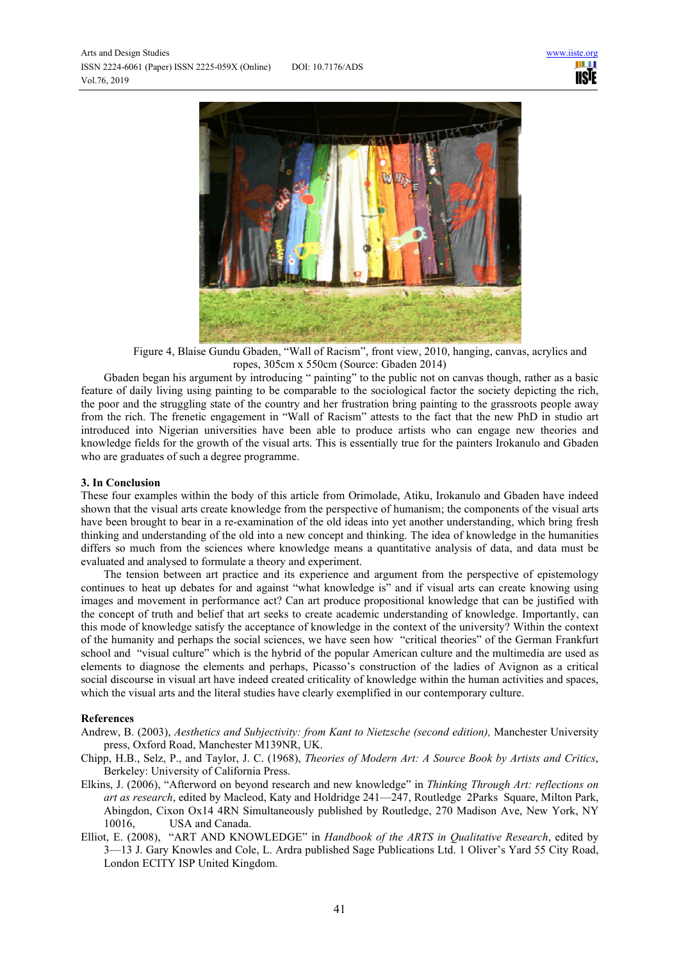

Figure 4, Blaise Gundu Gbaden, "Wall of Racism", front view, 2010, hanging, canvas, acrylics and ropes, 305cm x 550cm (Source: Gbaden 2014)

Gbaden began his argument by introducing " painting" to the public not on canvas though, rather as a basic feature of daily living using painting to be comparable to the sociological factor the society depicting the rich, the poor and the struggling state of the country and her frustration bring painting to the grassroots people away from the rich. The frenetic engagement in "Wall of Racism" attests to the fact that the new PhD in studio art introduced into Nigerian universities have been able to produce artists who can engage new theories and knowledge fields for the growth of the visual arts. This is essentially true for the painters Irokanulo and Gbaden who are graduates of such a degree programme.

# **3. In Conclusion**

These four examples within the body of this article from Orimolade, Atiku, Irokanulo and Gbaden have indeed shown that the visual arts create knowledge from the perspective of humanism; the components of the visual arts have been brought to bear in a re-examination of the old ideas into yet another understanding, which bring fresh thinking and understanding of the old into a new concept and thinking. The idea of knowledge in the humanities differs so much from the sciences where knowledge means a quantitative analysis of data, and data must be evaluated and analysed to formulate a theory and experiment.

The tension between art practice and its experience and argument from the perspective of epistemology continues to heat up debates for and against "what knowledge is" and if visual arts can create knowing using images and movement in performance act? Can art produce propositional knowledge that can be justified with the concept of truth and belief that art seeks to create academic understanding of knowledge. Importantly, can this mode of knowledge satisfy the acceptance of knowledge in the context of the university? Within the context of the humanity and perhaps the social sciences, we have seen how "critical theories" of the German Frankfurt school and "visual culture" which is the hybrid of the popular American culture and the multimedia are used as elements to diagnose the elements and perhaps, Picasso's construction of the ladies of Avignon as a critical social discourse in visual art have indeed created criticality of knowledge within the human activities and spaces, which the visual arts and the literal studies have clearly exemplified in our contemporary culture.

### **References**

- Andrew, B. (2003), *Aesthetics and Subjectivity: from Kant to Nietzsche (second edition),* Manchester University press, Oxford Road, Manchester M139NR, UK.
- Chipp, H.B., Selz, P., and Taylor, J. C. (1968), *Theories of Modern Art: A Source Book by Artists and Critics*, Berkeley: University of California Press.
- Elkins, J. (2006), "Afterword on beyond research and new knowledge" in *Thinking Through Art: reflections on art as research*, edited by Macleod, Katy and Holdridge 241—247, Routledge 2Parks Square, Milton Park, Abingdon, Cixon Ox14 4RN Simultaneously published by Routledge, 270 Madison Ave, New York, NY 10016, USA and Canada.
- Elliot, E. (2008), "ART AND KNOWLEDGE" in *Handbook of the ARTS in Qualitative Research*, edited by 3—13 J. Gary Knowles and Cole, L. Ardra published Sage Publications Ltd. 1 Oliver's Yard 55 City Road, London ECITY ISP United Kingdom.